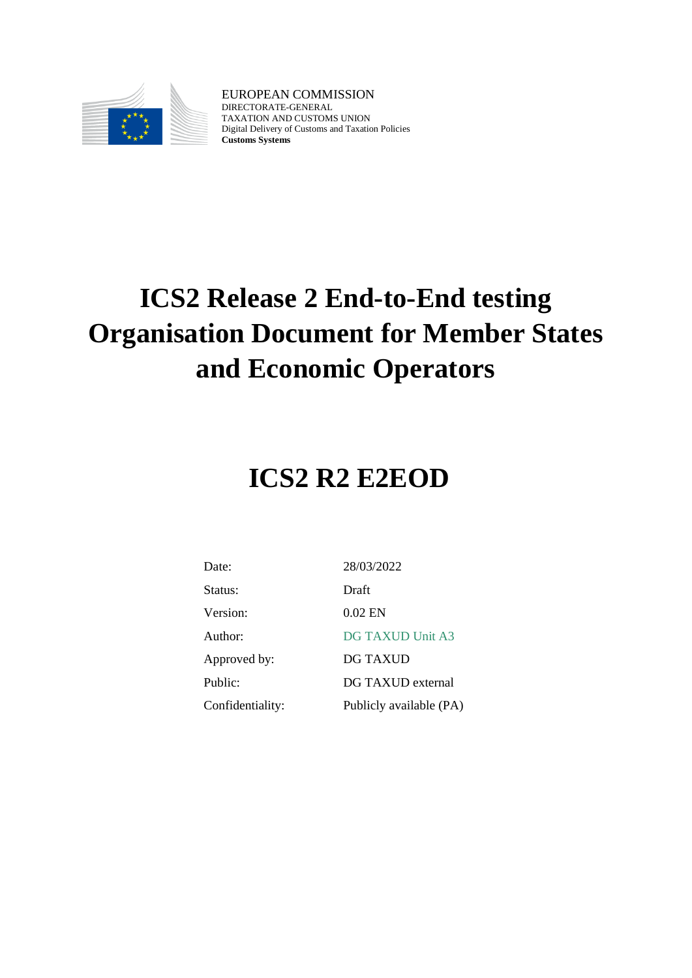

EUROPEAN COMMISSION DIRECTORATE-GENERAL TAXATION AND CUSTOMS UNION Digital Delivery of Customs and Taxation Policies **Customs Systems**

# **ICS2 Release 2 End-to-End testing Organisation Document for Member States and Economic Operators**

# **ICS2 R2 E2EOD**

| Date:            | 28/03/2022              |
|------------------|-------------------------|
| Status:          | Draft                   |
| Version:         | 0.02 EN                 |
| Author:          | <b>DG TAXUD Unit A3</b> |
| Approved by:     | DG TAXUD                |
| Public:          | DG TAXUD external       |
| Confidentiality: | Publicly available (PA) |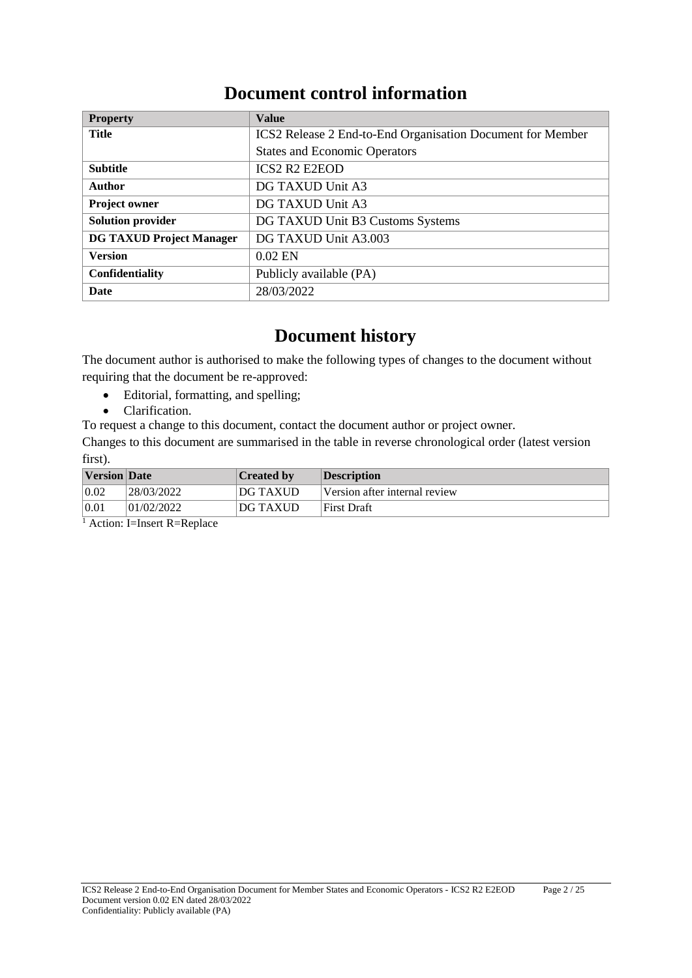# **Document control information**

| <b>Property</b>                 | <b>Value</b>                                               |
|---------------------------------|------------------------------------------------------------|
| <b>Title</b>                    | ICS2 Release 2 End-to-End Organisation Document for Member |
|                                 | <b>States and Economic Operators</b>                       |
| <b>Subtitle</b>                 | <b>ICS2 R2 E2EOD</b>                                       |
| <b>Author</b>                   | DG TAXUD Unit A3                                           |
| <b>Project owner</b>            | DG TAXUD Unit A3                                           |
| <b>Solution provider</b>        | DG TAXUD Unit B3 Customs Systems                           |
| <b>DG TAXUD Project Manager</b> | DG TAXUD Unit A3.003                                       |
| <b>Version</b>                  | $0.02$ EN                                                  |
| <b>Confidentiality</b>          | Publicly available (PA)                                    |
| Date                            | 28/03/2022                                                 |

# **Document history**

The document author is authorised to make the following types of changes to the document without requiring that the document be re-approved:

- Editorial, formatting, and spelling;
- Clarification.
- To request a change to this document, contact the document author or project owner.

Changes to this document are summarised in the table in reverse chronological order (latest version first).

| <b>Version</b> Date |            | <b>Created by</b> | <b>Description</b>            |
|---------------------|------------|-------------------|-------------------------------|
| 0.02                | 28/03/2022 | DG TAXUD          | Version after internal review |
| 0.01                | 01/02/2022 | <b>DG TAXUD</b>   | First Draft                   |

<sup>1</sup> Action: I=Insert R=Replace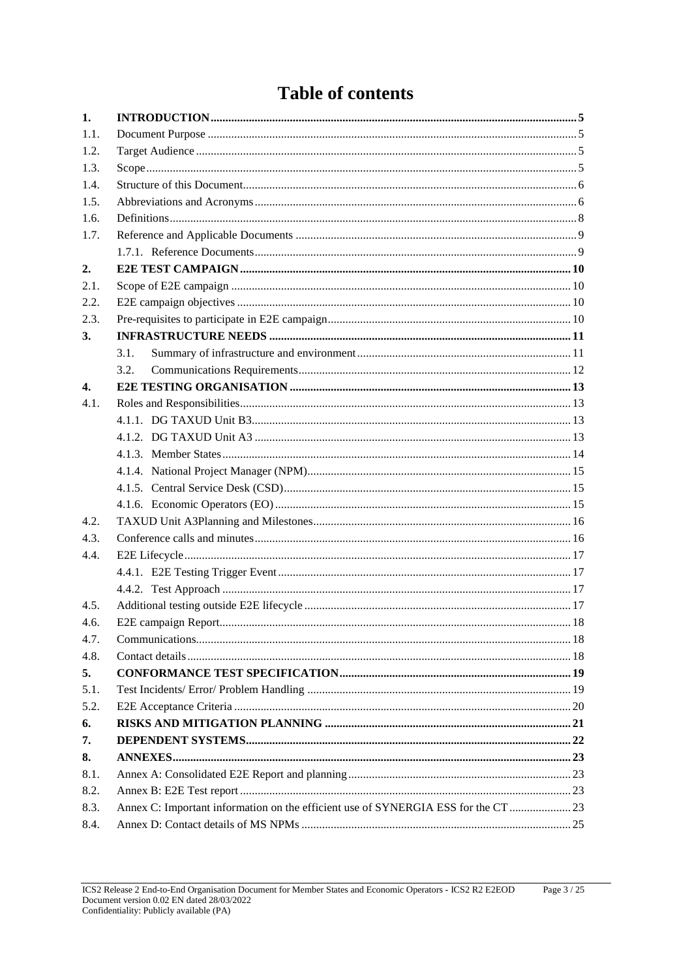# **Table of contents**

| 1.                 |                                                                                    |  |
|--------------------|------------------------------------------------------------------------------------|--|
| 1.1.               |                                                                                    |  |
| 1.2.               |                                                                                    |  |
| 1.3.               |                                                                                    |  |
| 1.4.               |                                                                                    |  |
| 1.5.               |                                                                                    |  |
| 1.6.               |                                                                                    |  |
| 1.7.               |                                                                                    |  |
|                    |                                                                                    |  |
| 2.                 |                                                                                    |  |
| 2.1.               |                                                                                    |  |
| 2.2.               |                                                                                    |  |
| 2.3.               |                                                                                    |  |
| 3.                 |                                                                                    |  |
|                    | 3.1.                                                                               |  |
|                    | 3.2.                                                                               |  |
| $\boldsymbol{4}$ . |                                                                                    |  |
| 4.1.               |                                                                                    |  |
|                    |                                                                                    |  |
|                    |                                                                                    |  |
|                    |                                                                                    |  |
|                    |                                                                                    |  |
|                    |                                                                                    |  |
|                    |                                                                                    |  |
| 4.2.               |                                                                                    |  |
| 4.3.               |                                                                                    |  |
| 4.4.               |                                                                                    |  |
|                    |                                                                                    |  |
|                    |                                                                                    |  |
| 4.5.               |                                                                                    |  |
| 4.6.               |                                                                                    |  |
| 4.7.               |                                                                                    |  |
| 4.8.               |                                                                                    |  |
| 5.                 |                                                                                    |  |
| 5.1.               |                                                                                    |  |
| 5.2.               |                                                                                    |  |
| 6.                 |                                                                                    |  |
| 7.                 |                                                                                    |  |
| 8.                 |                                                                                    |  |
| 8.1.               |                                                                                    |  |
| 8.2.               |                                                                                    |  |
| 8.3.               | Annex C: Important information on the efficient use of SYNERGIA ESS for the CT  23 |  |
| 8.4.               |                                                                                    |  |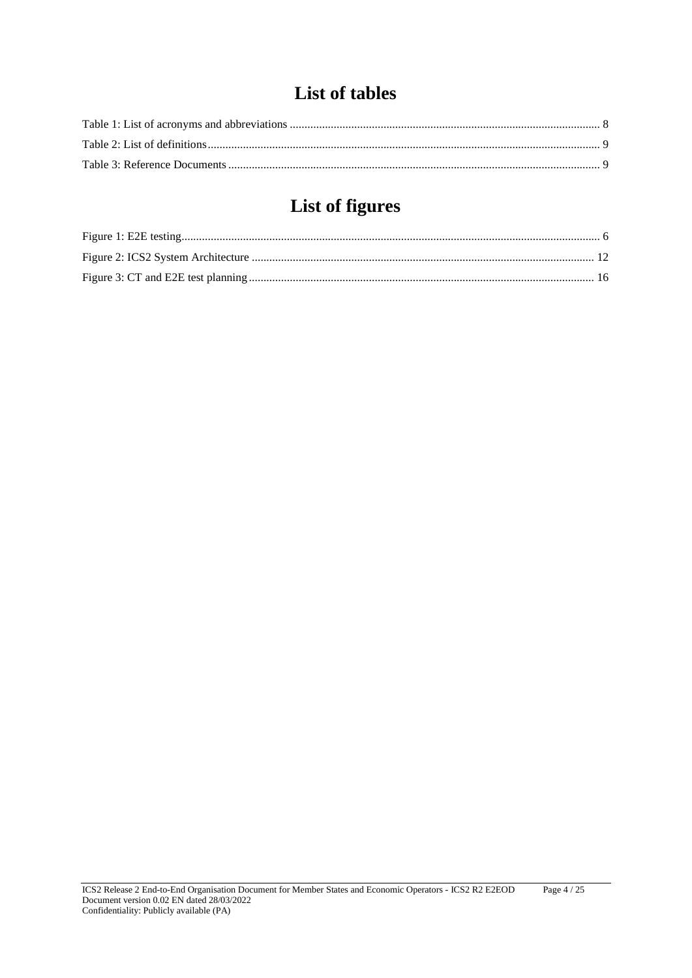# **List of tables**

# **List of figures**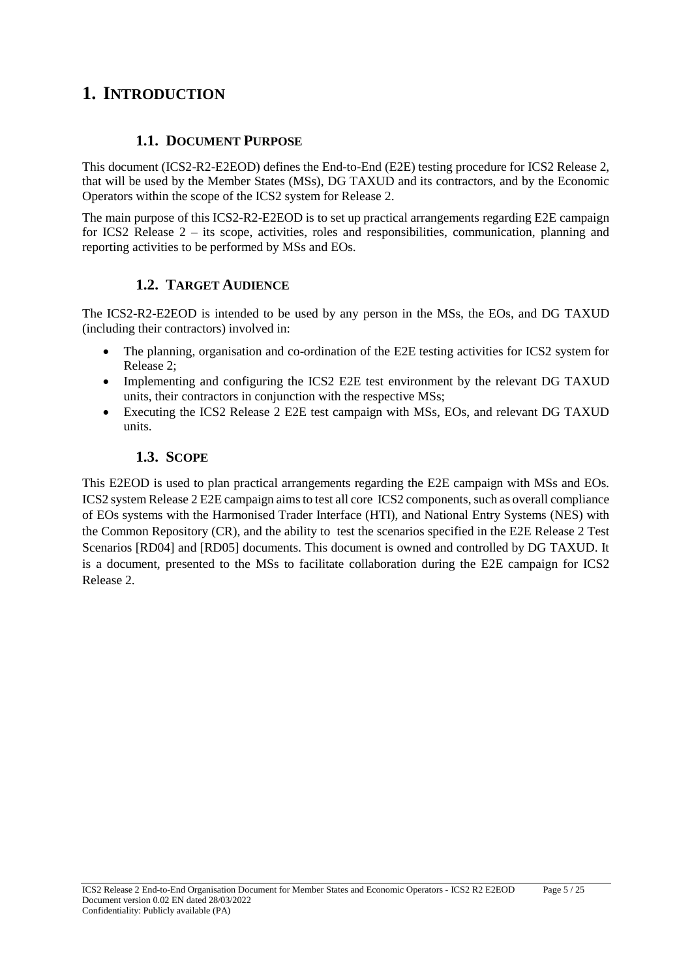# **1. INTRODUCTION**

### **1.1. DOCUMENT PURPOSE**

This document (ICS2-R2-E2EOD) defines the End-to-End (E2E) testing procedure for ICS2 Release 2, that will be used by the Member States (MSs), DG TAXUD and its contractors, and by the Economic Operators within the scope of the ICS2 system for Release 2.

The main purpose of this ICS2-R2-E2EOD is to set up practical arrangements regarding E2E campaign for ICS2 Release 2 – its scope, activities, roles and responsibilities, communication, planning and reporting activities to be performed by MSs and EOs.

# **1.2. TARGET AUDIENCE**

The ICS2-R2-E2EOD is intended to be used by any person in the MSs, the EOs, and DG TAXUD (including their contractors) involved in:

- The planning, organisation and co-ordination of the E2E testing activities for ICS2 system for Release 2;
- Implementing and configuring the ICS2 E2E test environment by the relevant DG TAXUD units, their contractors in conjunction with the respective MSs;
- Executing the ICS2 Release 2 E2E test campaign with MSs, EOs, and relevant DG TAXUD units.

# **1.3. SCOPE**

This E2EOD is used to plan practical arrangements regarding the E2E campaign with MSs and EOs. ICS2 system Release 2 E2E campaign aims to test all core ICS2 components, such as overall compliance of EOs systems with the Harmonised Trader Interface (HTI), and National Entry Systems (NES) with the Common Repository (CR), and the ability to test the scenarios specified in the E2E Release 2 Test Scenarios [RD04] and [RD05] documents. This document is owned and controlled by DG TAXUD. It is a document, presented to the MSs to facilitate collaboration during the E2E campaign for ICS2 Release 2.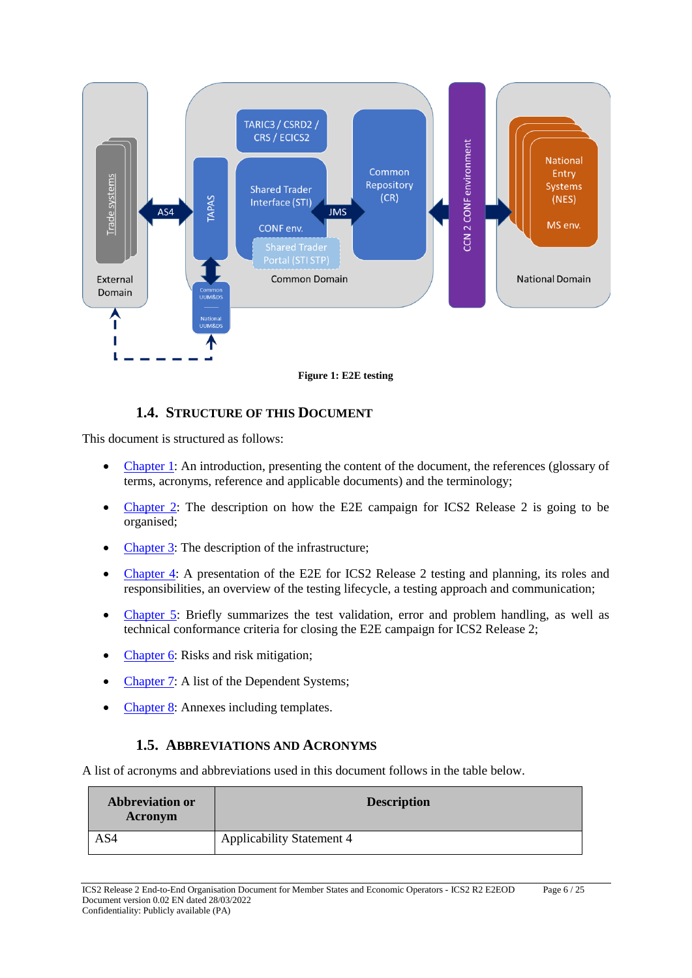

**Figure 1: E2E testing**

# **1.4. STRUCTURE OF THIS DOCUMENT**

This document is structured as follows:

- Chapter 1: An introduction, presenting the content of the document, the references (glossary of terms, acronyms, reference and applicable documents) and the terminology;
- Chapter 2: The description on how the E2E campaign for ICS2 Release 2 is going to be organised;
- Chapter 3: The description of the infrastructure;
- Chapter 4: A presentation of the E2E for ICS2 Release 2 testing and planning, its roles and responsibilities, an overview of the testing lifecycle, a testing approach and communication;
- Chapter 5: Briefly summarizes the test validation, error and problem handling, as well as technical conformance criteria for closing the E2E campaign for ICS2 Release 2;
- Chapter 6: Risks and risk mitigation;
- Chapter 7: A list of the Dependent Systems;
- Chapter 8: Annexes including templates.

#### **1.5. ABBREVIATIONS AND ACRONYMS**

A list of acronyms and abbreviations used in this document follows in the table below.

| <b>Abbreviation or</b><br>Acronym | <b>Description</b>               |
|-----------------------------------|----------------------------------|
| AS4                               | <b>Applicability Statement 4</b> |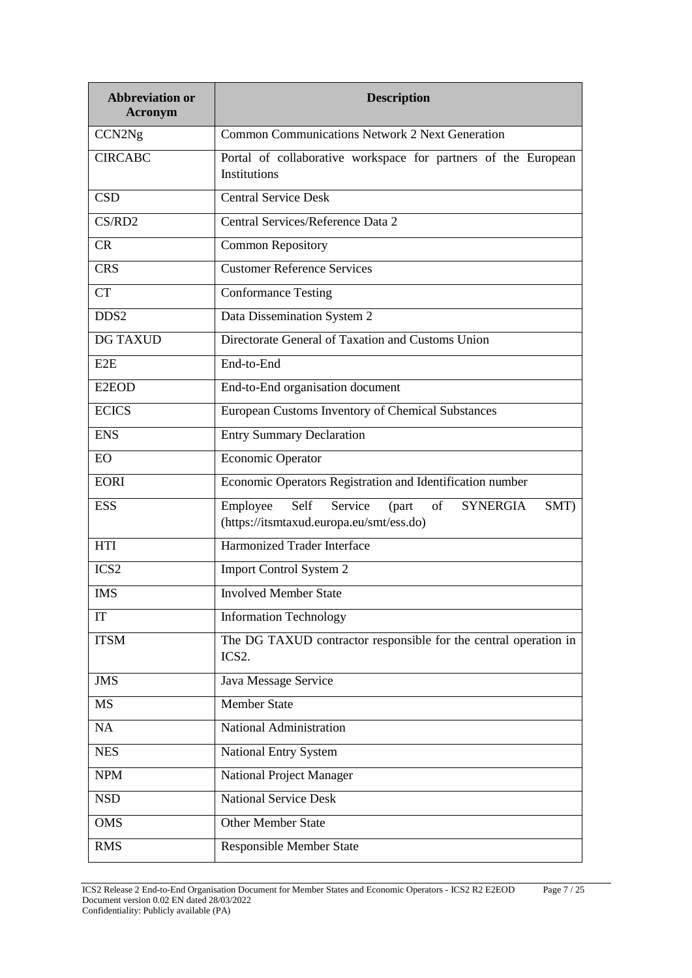| <b>Abbreviation or</b><br><b>Acronym</b> | <b>Description</b>                                                                                                |  |
|------------------------------------------|-------------------------------------------------------------------------------------------------------------------|--|
| CCN <sub>2Ng</sub>                       | <b>Common Communications Network 2 Next Generation</b>                                                            |  |
| <b>CIRCABC</b>                           | Portal of collaborative workspace for partners of the European<br>Institutions                                    |  |
| <b>CSD</b>                               | <b>Central Service Desk</b>                                                                                       |  |
| CS/RD2                                   | Central Services/Reference Data 2                                                                                 |  |
| CR                                       | <b>Common Repository</b>                                                                                          |  |
| <b>CRS</b>                               | <b>Customer Reference Services</b>                                                                                |  |
| <b>CT</b>                                | <b>Conformance Testing</b>                                                                                        |  |
| DDS <sub>2</sub>                         | Data Dissemination System 2                                                                                       |  |
| <b>DG TAXUD</b>                          | Directorate General of Taxation and Customs Union                                                                 |  |
| E2E                                      | End-to-End                                                                                                        |  |
| E <sub>2</sub> EOD                       | End-to-End organisation document                                                                                  |  |
| <b>ECICS</b>                             | European Customs Inventory of Chemical Substances                                                                 |  |
| <b>ENS</b>                               | <b>Entry Summary Declaration</b>                                                                                  |  |
| <b>EO</b>                                | <b>Economic Operator</b>                                                                                          |  |
| <b>EORI</b>                              | Economic Operators Registration and Identification number                                                         |  |
| <b>ESS</b>                               | Employee<br>Self<br><b>SYNERGIA</b><br>Service<br>of<br>SMT)<br>(part<br>(https://itsmtaxud.europa.eu/smt/ess.do) |  |
| <b>HTI</b>                               | <b>Harmonized Trader Interface</b>                                                                                |  |
| ICS <sub>2</sub>                         | Import Control System 2                                                                                           |  |
| <b>IMS</b>                               | <b>Involved Member State</b>                                                                                      |  |
| IT                                       | <b>Information Technology</b>                                                                                     |  |
| <b>ITSM</b>                              | The DG TAXUD contractor responsible for the central operation in<br>ICS <sub>2</sub> .                            |  |
| <b>JMS</b>                               | Java Message Service                                                                                              |  |
| <b>MS</b>                                | <b>Member State</b>                                                                                               |  |
| NA                                       | National Administration                                                                                           |  |
| <b>NES</b>                               | <b>National Entry System</b>                                                                                      |  |
| <b>NPM</b>                               | National Project Manager                                                                                          |  |
| <b>NSD</b>                               | <b>National Service Desk</b>                                                                                      |  |
| <b>OMS</b>                               | <b>Other Member State</b>                                                                                         |  |
| <b>RMS</b>                               | <b>Responsible Member State</b>                                                                                   |  |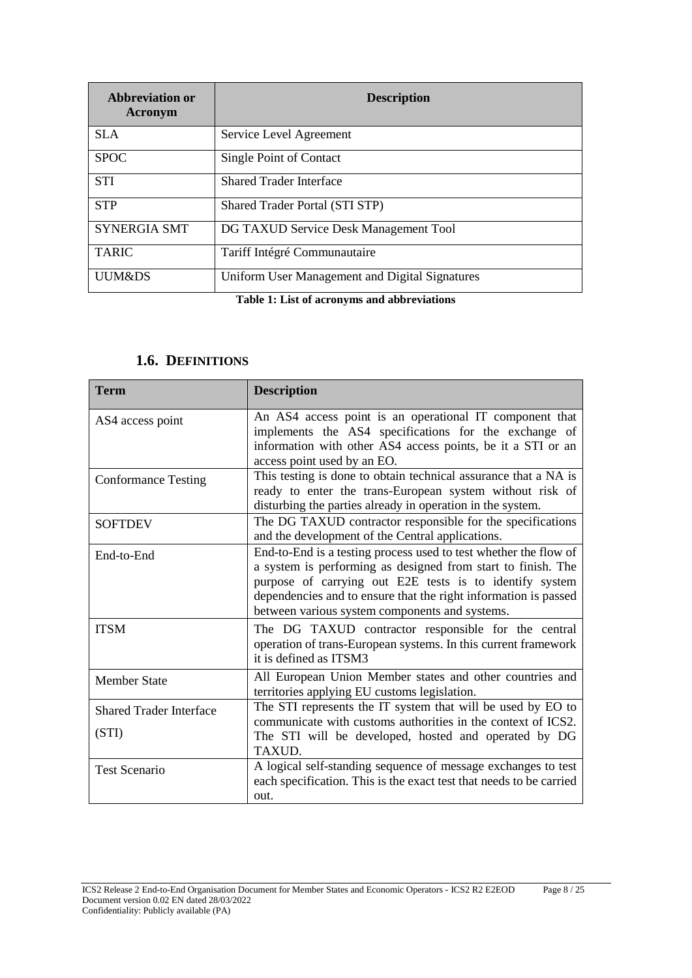| Abbreviation or<br>Acronym | <b>Description</b>                             |
|----------------------------|------------------------------------------------|
| SLA.                       | Service Level Agreement                        |
| <b>SPOC</b>                | Single Point of Contact                        |
| <b>STI</b>                 | <b>Shared Trader Interface</b>                 |
| <b>STP</b>                 | <b>Shared Trader Portal (STI STP)</b>          |
| <b>SYNERGIA SMT</b>        | DG TAXUD Service Desk Management Tool          |
| <b>TARIC</b>               | Tariff Intégré Communautaire                   |
| UUM&DS                     | Uniform User Management and Digital Signatures |

**Table 1: List of acronyms and abbreviations**

| <b>Term</b>                             | <b>Description</b>                                                                                                                                                                                                                                                                                               |
|-----------------------------------------|------------------------------------------------------------------------------------------------------------------------------------------------------------------------------------------------------------------------------------------------------------------------------------------------------------------|
| AS4 access point                        | An AS4 access point is an operational IT component that<br>implements the AS4 specifications for the exchange of<br>information with other AS4 access points, be it a STI or an<br>access point used by an EO.                                                                                                   |
| <b>Conformance Testing</b>              | This testing is done to obtain technical assurance that a NA is<br>ready to enter the trans-European system without risk of<br>disturbing the parties already in operation in the system.                                                                                                                        |
| <b>SOFTDEV</b>                          | The DG TAXUD contractor responsible for the specifications<br>and the development of the Central applications.                                                                                                                                                                                                   |
| End-to-End                              | End-to-End is a testing process used to test whether the flow of<br>a system is performing as designed from start to finish. The<br>purpose of carrying out E2E tests is to identify system<br>dependencies and to ensure that the right information is passed<br>between various system components and systems. |
| <b>ITSM</b>                             | The DG TAXUD contractor responsible for the central<br>operation of trans-European systems. In this current framework<br>it is defined as ITSM3                                                                                                                                                                  |
| <b>Member State</b>                     | All European Union Member states and other countries and<br>territories applying EU customs legislation.                                                                                                                                                                                                         |
| <b>Shared Trader Interface</b><br>(STI) | The STI represents the IT system that will be used by EO to<br>communicate with customs authorities in the context of ICS2.<br>The STI will be developed, hosted and operated by DG<br>TAXUD.                                                                                                                    |
| <b>Test Scenario</b>                    | A logical self-standing sequence of message exchanges to test<br>each specification. This is the exact test that needs to be carried<br>out.                                                                                                                                                                     |

#### **1.6. DEFINITIONS**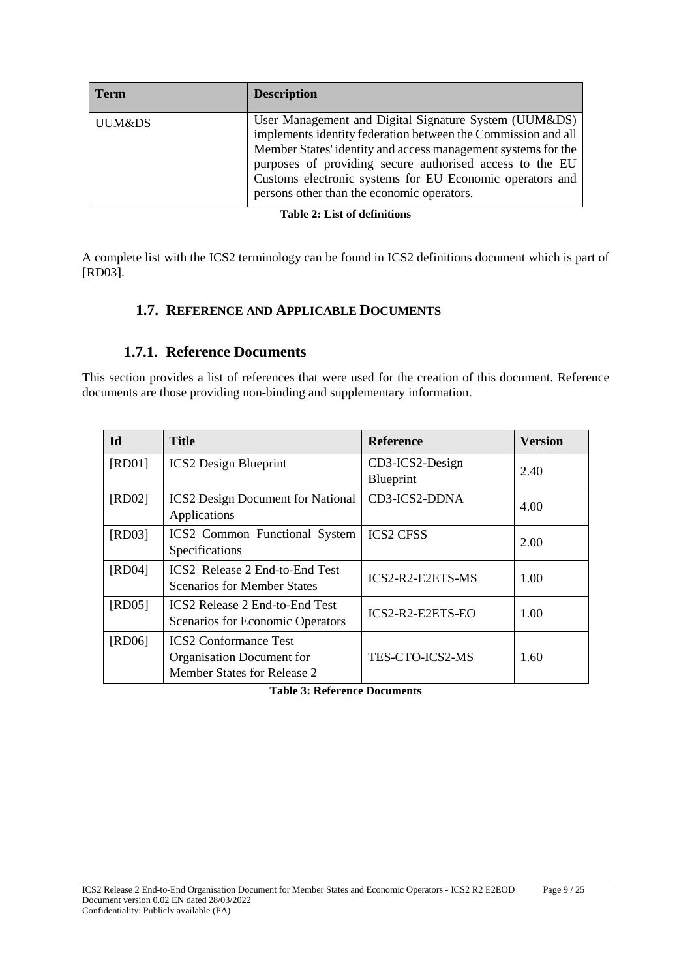| <b>Term</b> | <b>Description</b>                                                                                                                                                                                                                                                                                                                                            |
|-------------|---------------------------------------------------------------------------------------------------------------------------------------------------------------------------------------------------------------------------------------------------------------------------------------------------------------------------------------------------------------|
| UUM&DS      | User Management and Digital Signature System (UUM&DS)<br>implements identity federation between the Commission and all<br>Member States' identity and access management systems for the<br>purposes of providing secure authorised access to the EU<br>Customs electronic systems for EU Economic operators and<br>persons other than the economic operators. |

**Table 2: List of definitions**

A complete list with the ICS2 terminology can be found in ICS2 definitions document which is part of [RD03].

# **1.7. REFERENCE AND APPLICABLE DOCUMENTS**

# **1.7.1. Reference Documents**

This section provides a list of references that were used for the creation of this document. Reference documents are those providing non-binding and supplementary information.

| Id     | <b>Title</b>                                                                             | <b>Reference</b>             | <b>Version</b> |
|--------|------------------------------------------------------------------------------------------|------------------------------|----------------|
| [RD01] | <b>ICS2</b> Design Blueprint                                                             | CD3-ICS2-Design<br>Blueprint | 2.40           |
| [RD02] | <b>ICS2</b> Design Document for National<br>Applications                                 | CD3-ICS2-DDNA                | 4.00           |
| [RD03] | ICS2 Common Functional System<br>Specifications                                          | <b>ICS2 CFSS</b>             | 2.00           |
| [RD04] | ICS2 Release 2 End-to-End Test<br><b>Scenarios for Member States</b>                     | ICS2-R2-E2ETS-MS             | 1.00           |
| [RD05] | <b>ICS2 Release 2 End-to-End Test</b><br>Scenarios for Economic Operators                | ICS2-R2-E2ETS-EO             | 1.00           |
| [RD06] | <b>ICS2 Conformance Test</b><br>Organisation Document for<br>Member States for Release 2 | TES-CTO-ICS2-MS              | 1.60           |

**Table 3: Reference Documents**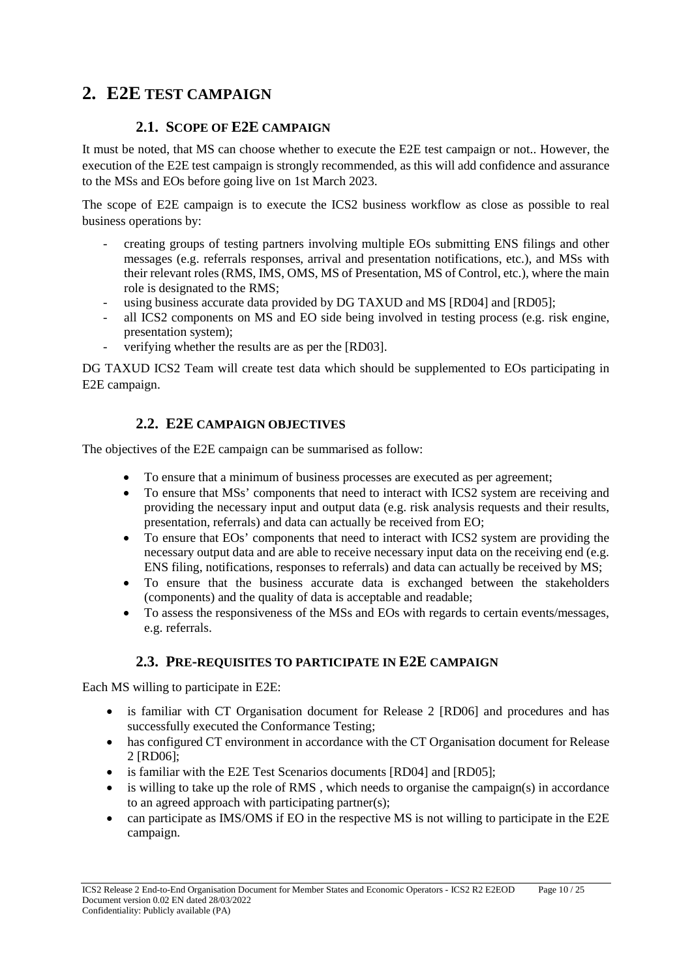# **2. E2E TEST CAMPAIGN**

# **2.1. SCOPE OF E2E CAMPAIGN**

It must be noted, that MS can choose whether to execute the E2E test campaign or not.. However, the execution of the E2E test campaign is strongly recommended, as this will add confidence and assurance to the MSs and EOs before going live on 1st March 2023.

The scope of E2E campaign is to execute the ICS2 business workflow as close as possible to real business operations by:

- creating groups of testing partners involving multiple EOs submitting ENS filings and other messages (e.g. referrals responses, arrival and presentation notifications, etc.), and MSs with their relevant roles (RMS, IMS, OMS, MS of Presentation, MS of Control, etc.), where the main role is designated to the RMS;
- using business accurate data provided by DG TAXUD and MS [RD04] and [RD05];
- all ICS2 components on MS and EO side being involved in testing process (e.g. risk engine, presentation system);
- verifying whether the results are as per the [RD03].

DG TAXUD ICS2 Team will create test data which should be supplemented to EOs participating in E2E campaign.

# **2.2. E2E CAMPAIGN OBJECTIVES**

The objectives of the E2E campaign can be summarised as follow:

- To ensure that a minimum of business processes are executed as per agreement;
- To ensure that MSs' components that need to interact with ICS2 system are receiving and providing the necessary input and output data (e.g. risk analysis requests and their results, presentation, referrals) and data can actually be received from EO;
- To ensure that EOs' components that need to interact with ICS2 system are providing the necessary output data and are able to receive necessary input data on the receiving end (e.g. ENS filing, notifications, responses to referrals) and data can actually be received by MS;
- To ensure that the business accurate data is exchanged between the stakeholders (components) and the quality of data is acceptable and readable;
- To assess the responsiveness of the MSs and EOs with regards to certain events/messages, e.g. referrals.

#### **2.3. PRE-REQUISITES TO PARTICIPATE IN E2E CAMPAIGN**

Each MS willing to participate in E2E:

- is familiar with CT Organisation document for Release 2 [RD06] and procedures and has successfully executed the Conformance Testing;
- has configured CT environment in accordance with the CT Organisation document for Release 2 [RD06];
- is familiar with the E2E Test Scenarios documents [RD04] and [RD05];
- $\bullet$  is willing to take up the role of RMS, which needs to organise the campaign(s) in accordance to an agreed approach with participating partner(s);
- can participate as IMS/OMS if EO in the respective MS is not willing to participate in the E2E campaign.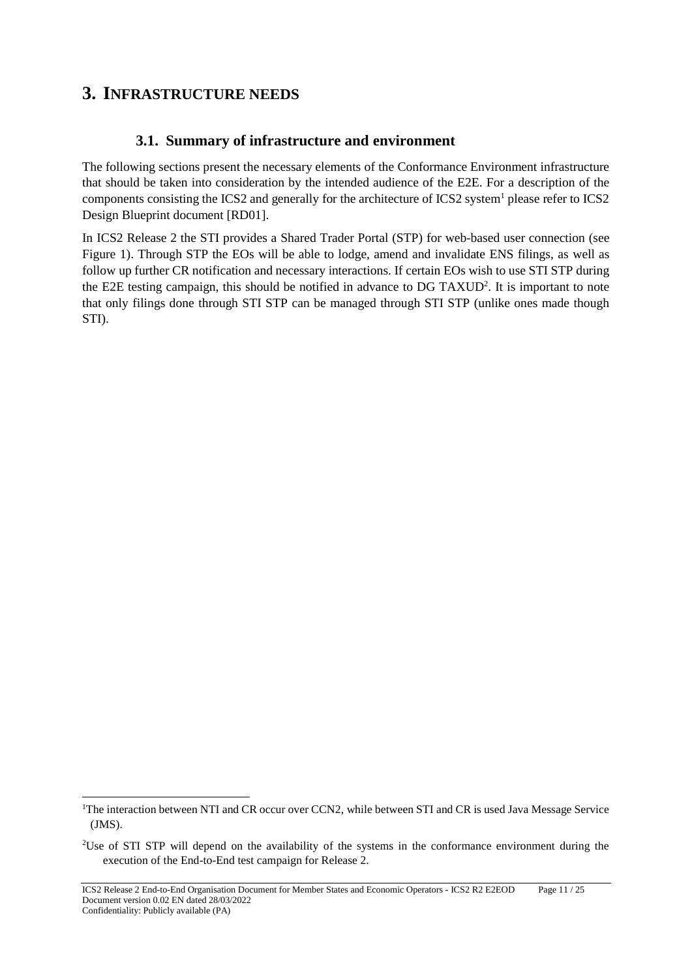# **3. INFRASTRUCTURE NEEDS**

# **3.1. Summary of infrastructure and environment**

The following sections present the necessary elements of the Conformance Environment infrastructure that should be taken into consideration by the intended audience of the E2E. For a description of the components consisting the ICS2 and generally for the architecture of ICS2 system<sup>1</sup> please refer to ICS2 Design Blueprint document [RD01].

In ICS2 Release 2 the STI provides a Shared Trader Portal (STP) for web-based user connection (see Figure 1). Through STP the EOs will be able to lodge, amend and invalidate ENS filings, as well as follow up further CR notification and necessary interactions. If certain EOs wish to use STI STP during the E2E testing campaign, this should be notified in advance to DG TAXUD<sup>2</sup>. It is important to note that only filings done through STI STP can be managed through STI STP (unlike ones made though STI).

<sup>&</sup>lt;sup>1</sup>The interaction between NTI and CR occur over CCN2, while between STI and CR is used Java Message Service (JMS).

<sup>2</sup> Use of STI STP will depend on the availability of the systems in the conformance environment during the execution of the End-to-End test campaign for Release 2.

ICS2 Release 2 End-to-End Organisation Document for Member States and Economic Operators - ICS2 R2 E2EOD Page 11 / 25 Document version 0.02 EN dated 28/03/2022 Confidentiality: Publicly available (PA)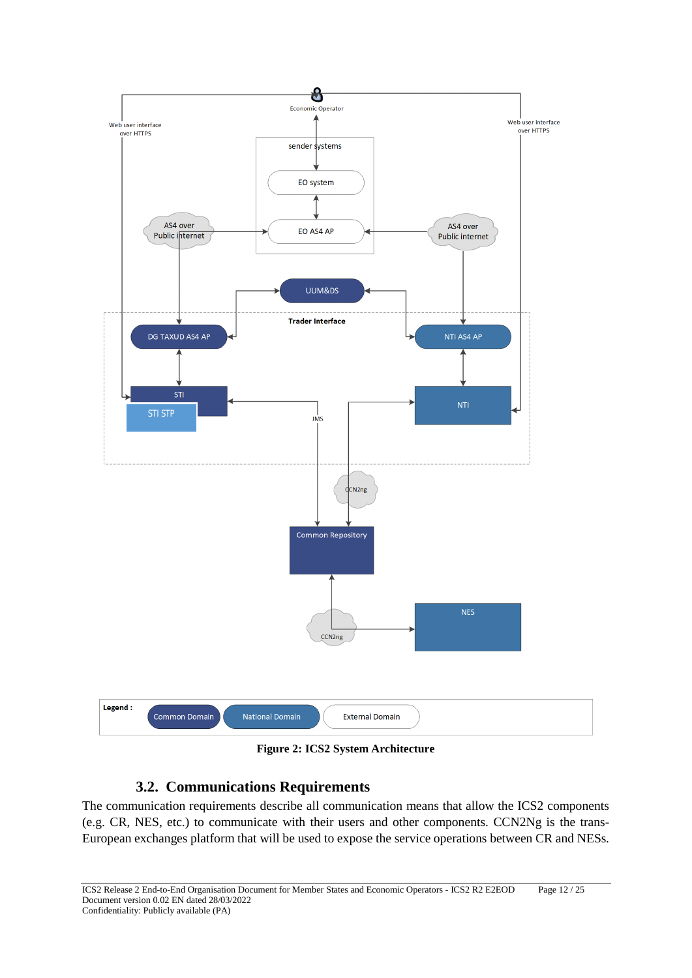

**Figure 2: ICS2 System Architecture**

# **3.2. Communications Requirements**

The communication requirements describe all communication means that allow the ICS2 components (e.g. CR, NES, etc.) to communicate with their users and other components. CCN2Ng is the trans-European exchanges platform that will be used to expose the service operations between CR and NESs.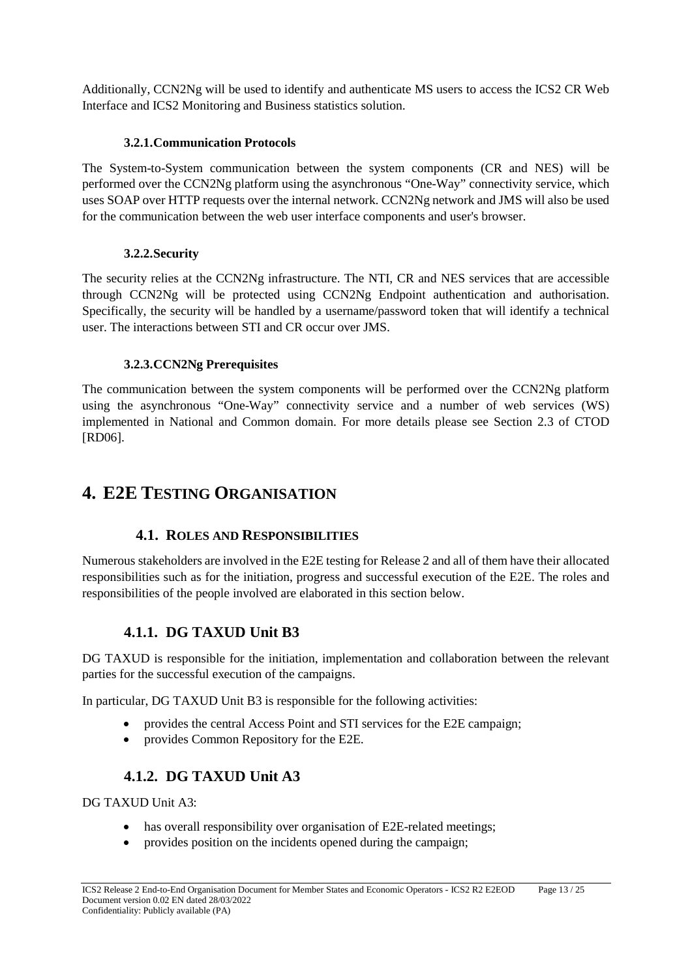Additionally, CCN2Ng will be used to identify and authenticate MS users to access the ICS2 CR Web Interface and ICS2 Monitoring and Business statistics solution.

#### **3.2.1.Communication Protocols**

The System-to-System communication between the system components (CR and NES) will be performed over the CCN2Ng platform using the asynchronous "One-Way" connectivity service, which uses SOAP over HTTP requests over the internal network. CCN2Ng network and JMS will also be used for the communication between the web user interface components and user's browser.

#### **3.2.2.Security**

The security relies at the CCN2Ng infrastructure. The NTI, CR and NES services that are accessible through CCN2Ng will be protected using CCN2Ng Endpoint authentication and authorisation. Specifically, the security will be handled by a username/password token that will identify a technical user. The interactions between STI and CR occur over JMS.

#### **3.2.3.CCN2Ng Prerequisites**

The communication between the system components will be performed over the CCN2Ng platform using the asynchronous "One-Way" connectivity service and a number of web services (WS) implemented in National and Common domain. For more details please see Section 2.3 of CTOD [RD06].

# **4. E2E TESTING ORGANISATION**

#### **4.1. ROLES AND RESPONSIBILITIES**

Numerous stakeholders are involved in the E2E testing for Release 2 and all of them have their allocated responsibilities such as for the initiation, progress and successful execution of the E2E. The roles and responsibilities of the people involved are elaborated in this section below.

# **4.1.1. DG TAXUD Unit B3**

DG TAXUD is responsible for the initiation, implementation and collaboration between the relevant parties for the successful execution of the campaigns.

In particular, DG TAXUD Unit B3 is responsible for the following activities:

- provides the central Access Point and STI services for the E2E campaign;
- provides Common Repository for the E2E.

# **4.1.2. DG TAXUD Unit A3**

DG TAXUD Unit A3:

- has overall responsibility over organisation of E2E-related meetings;
- provides position on the incidents opened during the campaign;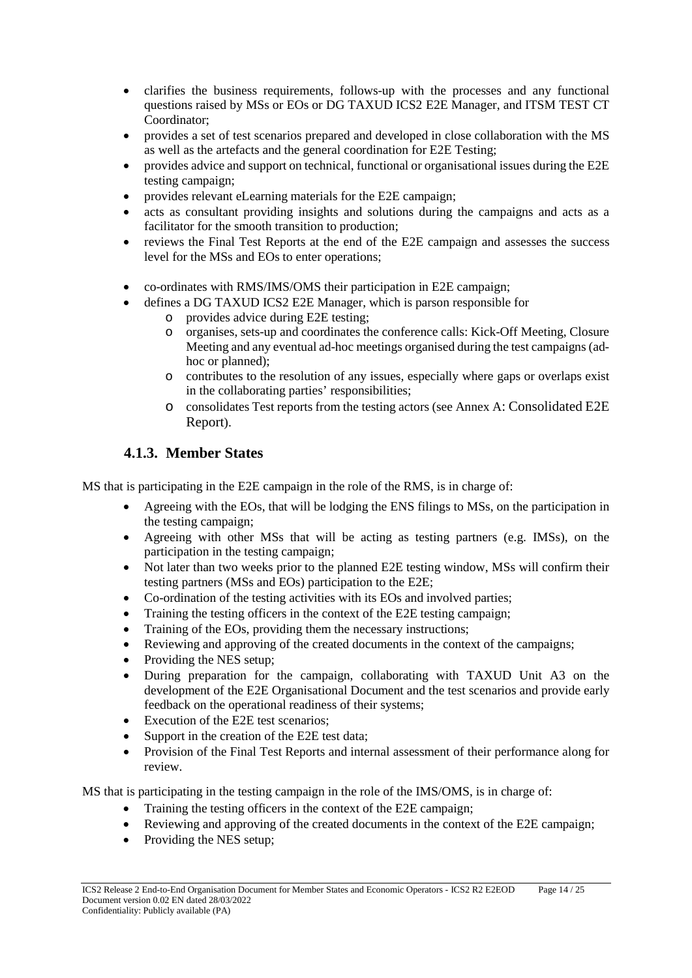- clarifies the business requirements, follows-up with the processes and any functional questions raised by MSs or EOs or DG TAXUD ICS2 E2E Manager, and ITSM TEST CT Coordinator;
- provides a set of test scenarios prepared and developed in close collaboration with the MS as well as the artefacts and the general coordination for E2E Testing;
- provides advice and support on technical, functional or organisational issues during the E2E testing campaign;
- provides relevant eLearning materials for the E2E campaign;
- acts as consultant providing insights and solutions during the campaigns and acts as a facilitator for the smooth transition to production;
- reviews the Final Test Reports at the end of the E2E campaign and assesses the success level for the MSs and EOs to enter operations;
- co-ordinates with RMS/IMS/OMS their participation in E2E campaign;
- defines a DG TAXUD ICS2 E2E Manager, which is parson responsible for
	- o provides advice during E2E testing;
		- o organises, sets-up and coordinates the conference calls: Kick-Off Meeting, Closure Meeting and any eventual ad-hoc meetings organised during the test campaigns (adhoc or planned);
		- o contributes to the resolution of any issues, especially where gaps or overlaps exist in the collaborating parties' responsibilities;
		- o consolidates Test reports from the testing actors (see Annex A: Consolidated E2E Report).

# **4.1.3. Member States**

MS that is participating in the E2E campaign in the role of the RMS, is in charge of:

- Agreeing with the EOs, that will be lodging the ENS filings to MSs, on the participation in the testing campaign;
- Agreeing with other MSs that will be acting as testing partners (e.g. IMSs), on the participation in the testing campaign;
- Not later than two weeks prior to the planned E2E testing window, MSs will confirm their testing partners (MSs and EOs) participation to the E2E;
- Co-ordination of the testing activities with its EOs and involved parties;
- Training the testing officers in the context of the E2E testing campaign;
- Training of the EOs, providing them the necessary instructions;
- Reviewing and approving of the created documents in the context of the campaigns;
- Providing the NES setup;
- During preparation for the campaign, collaborating with TAXUD Unit A3 on the development of the E2E Organisational Document and the test scenarios and provide early feedback on the operational readiness of their systems;
- Execution of the E2E test scenarios;
- Support in the creation of the E2E test data;
- Provision of the Final Test Reports and internal assessment of their performance along for review.

MS that is participating in the testing campaign in the role of the IMS/OMS, is in charge of:

- Training the testing officers in the context of the E2E campaign;
- Reviewing and approving of the created documents in the context of the E2E campaign;
- Providing the NES setup;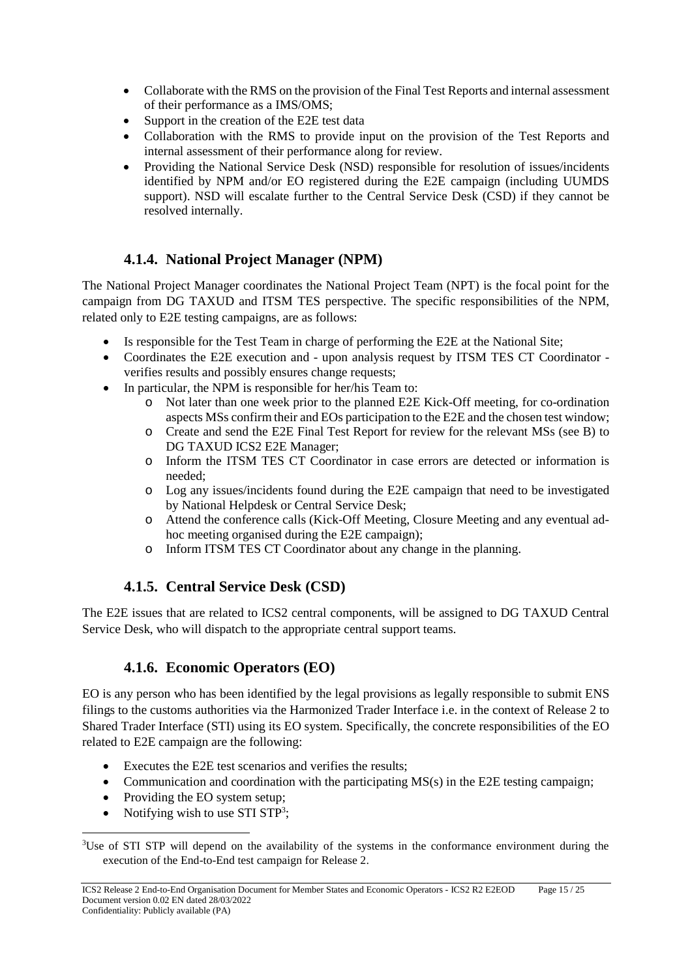- Collaborate with the RMS on the provision of the Final Test Reports and internal assessment of their performance as a IMS/OMS;
- Support in the creation of the E2E test data
- Collaboration with the RMS to provide input on the provision of the Test Reports and internal assessment of their performance along for review.
- Providing the National Service Desk (NSD) responsible for resolution of issues/incidents identified by NPM and/or EO registered during the E2E campaign (including UUMDS support). NSD will escalate further to the Central Service Desk (CSD) if they cannot be resolved internally.

# **4.1.4. National Project Manager (NPM)**

The National Project Manager coordinates the National Project Team (NPT) is the focal point for the campaign from DG TAXUD and ITSM TES perspective. The specific responsibilities of the NPM, related only to E2E testing campaigns, are as follows:

- Is responsible for the Test Team in charge of performing the E2E at the National Site;
- Coordinates the E2E execution and upon analysis request by ITSM TES CT Coordinator verifies results and possibly ensures change requests;
- In particular, the NPM is responsible for her/his Team to:
	- Not later than one week prior to the planned E2E Kick-Off meeting, for co-ordination aspects MSs confirm their and EOs participation to the E2E and the chosen test window;
	- o Create and send the E2E Final Test Report for review for the relevant MSs (see B) to DG TAXUD ICS2 E2E Manager;
	- o Inform the ITSM TES CT Coordinator in case errors are detected or information is needed;
	- o Log any issues/incidents found during the E2E campaign that need to be investigated by National Helpdesk or Central Service Desk;
	- o Attend the conference calls (Kick-Off Meeting, Closure Meeting and any eventual adhoc meeting organised during the E2E campaign);
	- o Inform ITSM TES CT Coordinator about any change in the planning.

# **4.1.5. Central Service Desk (CSD)**

The E2E issues that are related to ICS2 central components, will be assigned to DG TAXUD Central Service Desk, who will dispatch to the appropriate central support teams.

# **4.1.6. Economic Operators (EO)**

EO is any person who has been identified by the legal provisions as legally responsible to submit ENS filings to the customs authorities via the Harmonized Trader Interface i.e. in the context of Release 2 to Shared Trader Interface (STI) using its EO system. Specifically, the concrete responsibilities of the EO related to E2E campaign are the following:

- Executes the E2E test scenarios and verifies the results;
- Communication and coordination with the participating  $MS(s)$  in the E2E testing campaign;
- Providing the EO system setup;
- Notifying wish to use STI STP<sup>3</sup>;

<sup>&</sup>lt;sup>3</sup>Use of STI STP will depend on the availability of the systems in the conformance environment during the execution of the End-to-End test campaign for Release 2.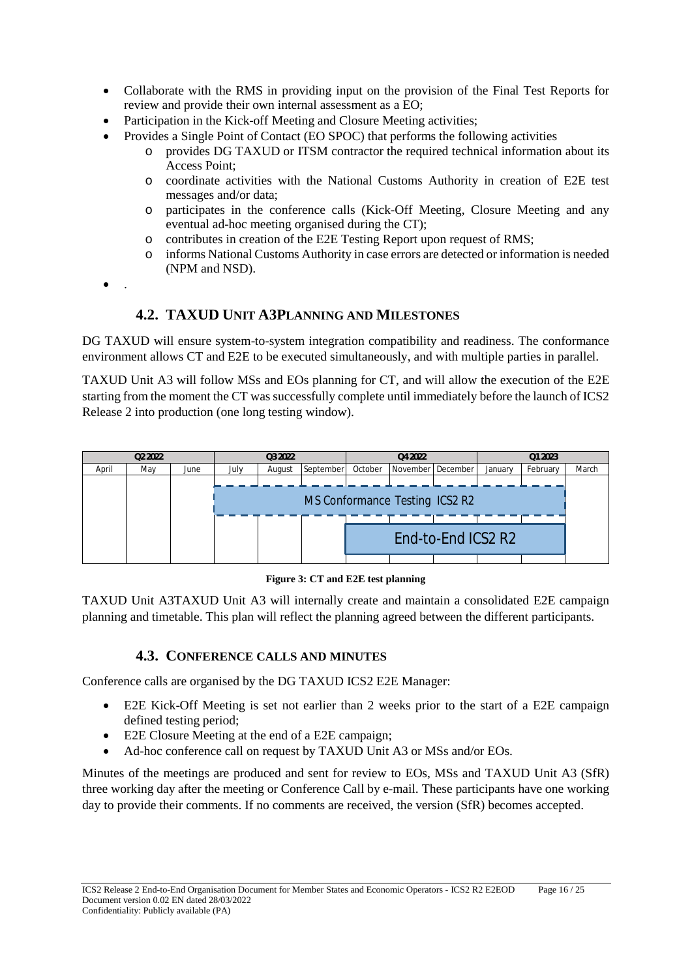- Collaborate with the RMS in providing input on the provision of the Final Test Reports for review and provide their own internal assessment as a EO;
- Participation in the Kick-off Meeting and Closure Meeting activities;
	- Provides a Single Point of Contact (EO SPOC) that performs the following activities
		- o provides DG TAXUD or ITSM contractor the required technical information about its Access Point;
		- o coordinate activities with the National Customs Authority in creation of E2E test messages and/or data;
		- o participates in the conference calls (Kick-Off Meeting, Closure Meeting and any eventual ad-hoc meeting organised during the CT);
		- o contributes in creation of the E2E Testing Report upon request of RMS;
		- o informs National Customs Authority in case errors are detected or information is needed (NPM and NSD).
- $\bullet$

# **4.2. TAXUD UNIT A3PLANNING AND MILESTONES**

DG TAXUD will ensure system-to-system integration compatibility and readiness. The conformance environment allows CT and E2E to be executed simultaneously, and with multiple parties in parallel.

TAXUD Unit A3 will follow MSs and EOs planning for CT, and will allow the execution of the E2E starting from the moment the CT was successfully complete until immediately before the launch of ICS2 Release 2 into production (one long testing window).



**Figure 3: CT and E2E test planning**

TAXUD Unit A3TAXUD Unit A3 will internally create and maintain a consolidated E2E campaign planning and timetable. This plan will reflect the planning agreed between the different participants.

#### **4.3. CONFERENCE CALLS AND MINUTES**

Conference calls are organised by the DG TAXUD ICS2 E2E Manager:

- E2E Kick-Off Meeting is set not earlier than 2 weeks prior to the start of a E2E campaign defined testing period;
- E2E Closure Meeting at the end of a E2E campaign;
- Ad-hoc conference call on request by TAXUD Unit A3 or MSs and/or EOs.

Minutes of the meetings are produced and sent for review to EOs, MSs and TAXUD Unit A3 (SfR) three working day after the meeting or Conference Call by e-mail. These participants have one working day to provide their comments. If no comments are received, the version (SfR) becomes accepted.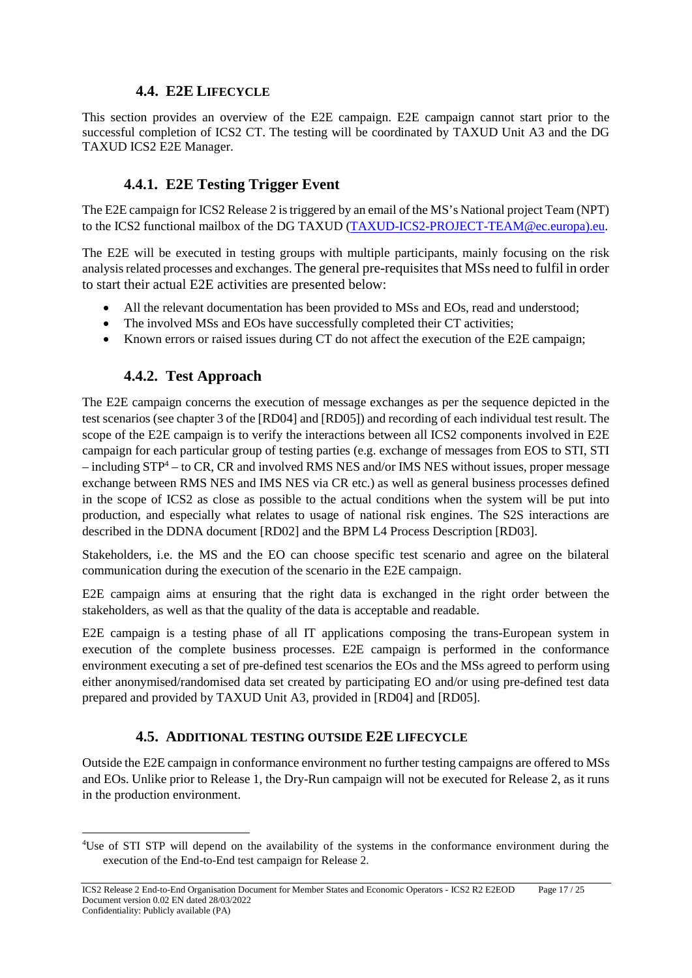### **4.4. E2E LIFECYCLE**

This section provides an overview of the E2E campaign. E2E campaign cannot start prior to the successful completion of ICS2 CT. The testing will be coordinated by TAXUD Unit A3 and the DG TAXUD ICS2 E2E Manager.

# **4.4.1. E2E Testing Trigger Event**

The E2E campaign for ICS2 Release 2 is triggered by an email of the MS's National project Team (NPT) to the ICS2 functional mailbox of the DG TAXUD [\(TAXUD-ICS2-PROJECT-TEAM@ec.europa\).eu.](mailto:TAXUD-ICS2-PROJECT-TEAM@ec.europa).eu)

The E2E will be executed in testing groups with multiple participants, mainly focusing on the risk analysis related processes and exchanges. The general pre-requisites that MSs need to fulfil in order to start their actual E2E activities are presented below:

- All the relevant documentation has been provided to MSs and EOs, read and understood;
- The involved MSs and EOs have successfully completed their CT activities;
- Known errors or raised issues during CT do not affect the execution of the E2E campaign;

# **4.4.2. Test Approach**

The E2E campaign concerns the execution of message exchanges as per the sequence depicted in the test scenarios (see chapter 3 of the [RD04] and [RD05]) and recording of each individual test result. The scope of the E2E campaign is to verify the interactions between all ICS2 components involved in E2E campaign for each particular group of testing parties (e.g. exchange of messages from EOS to STI, STI  $-$  including STP<sup>4</sup> – to CR, CR and involved RMS NES and/or IMS NES without issues, proper message exchange between RMS NES and IMS NES via CR etc.) as well as general business processes defined in the scope of ICS2 as close as possible to the actual conditions when the system will be put into production, and especially what relates to usage of national risk engines. The S2S interactions are described in the DDNA document [RD02] and the BPM L4 Process Description [RD03].

Stakeholders, i.e. the MS and the EO can choose specific test scenario and agree on the bilateral communication during the execution of the scenario in the E2E campaign.

E2E campaign aims at ensuring that the right data is exchanged in the right order between the stakeholders, as well as that the quality of the data is acceptable and readable.

E2E campaign is a testing phase of all IT applications composing the trans-European system in execution of the complete business processes. E2E campaign is performed in the conformance environment executing a set of pre-defined test scenarios the EOs and the MSs agreed to perform using either anonymised/randomised data set created by participating EO and/or using pre-defined test data prepared and provided by TAXUD Unit A3, provided in [RD04] and [RD05].

# **4.5. ADDITIONAL TESTING OUTSIDE E2E LIFECYCLE**

Outside the E2E campaign in conformance environment no further testing campaigns are offered to MSs and EOs. Unlike prior to Release 1, the Dry-Run campaign will not be executed for Release 2, as it runs in the production environment.

<sup>4</sup> Use of STI STP will depend on the availability of the systems in the conformance environment during the execution of the End-to-End test campaign for Release 2.

ICS2 Release 2 End-to-End Organisation Document for Member States and Economic Operators - ICS2 R2 E2EOD Page 17 / 25 Document version 0.02 EN dated 28/03/2022 Confidentiality: Publicly available (PA)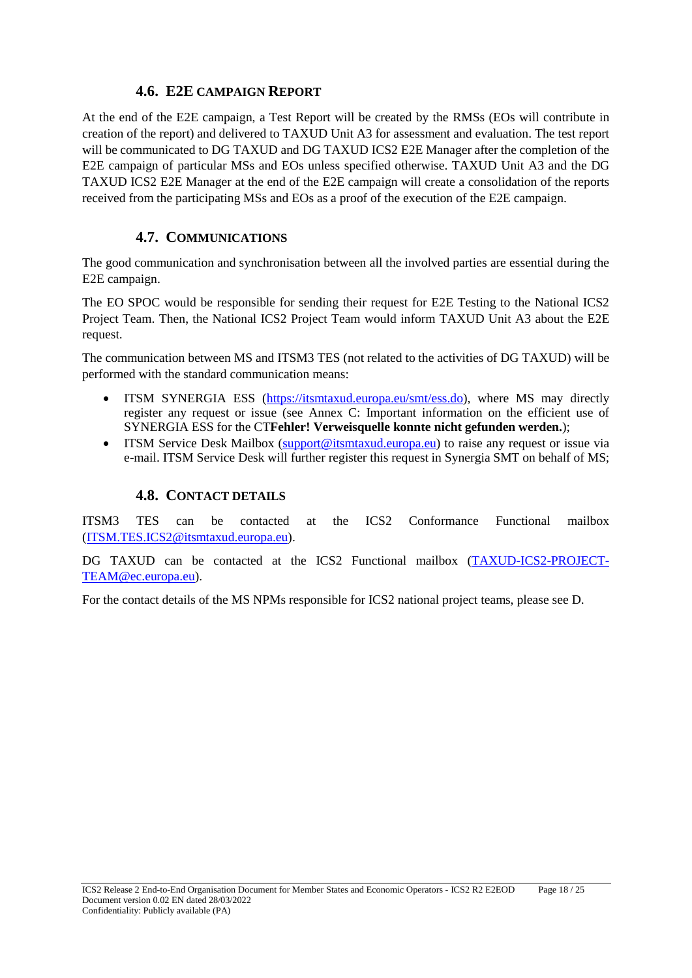#### **4.6. E2E CAMPAIGN REPORT**

At the end of the E2E campaign, a Test Report will be created by the RMSs (EOs will contribute in creation of the report) and delivered to TAXUD Unit A3 for assessment and evaluation. The test report will be communicated to DG TAXUD and DG TAXUD ICS2 E2E Manager after the completion of the E2E campaign of particular MSs and EOs unless specified otherwise. TAXUD Unit A3 and the DG TAXUD ICS2 E2E Manager at the end of the E2E campaign will create a consolidation of the reports received from the participating MSs and EOs as a proof of the execution of the E2E campaign.

#### **4.7. COMMUNICATIONS**

The good communication and synchronisation between all the involved parties are essential during the E2E campaign.

The EO SPOC would be responsible for sending their request for E2E Testing to the National ICS2 Project Team. Then, the National ICS2 Project Team would inform TAXUD Unit A3 about the E2E request.

The communication between MS and ITSM3 TES (not related to the activities of DG TAXUD) will be performed with the standard communication means:

- ITSM SYNERGIA ESS [\(https://itsmtaxud.europa.eu/smt/ess.do\)](https://itsmtaxud.europa.eu/smt/ess.do), where MS may directly register any request or issue (see Annex C: Important information on the efficient use of SYNERGIA ESS for the CT**Fehler! Verweisquelle konnte nicht gefunden werden.**);
- ITSM Service Desk Mailbox [\(support@itsmtaxud.europa.eu\)](mailto:support@itsmtaxud.europa.eu) to raise any request or issue via e-mail. ITSM Service Desk will further register this request in Synergia SMT on behalf of MS;

#### **4.8. CONTACT DETAILS**

ITSM3 TES can be contacted at the ICS2 Conformance Functional mailbox [\(ITSM.TES.ICS2@itsmtaxud.europa.eu\)](mailto:ITSM.ConformanceICS2@itsmtaxud.europa.eu).

DG TAXUD can be contacted at the ICS2 Functional mailbox [\(TAXUD-ICS2-PROJECT-](mailto:TAXUD-ICS2-PROJECT-TEAM@ec.europa.eu)[TEAM@ec.europa.eu\)](mailto:TAXUD-ICS2-PROJECT-TEAM@ec.europa.eu).

For the contact details of the MS NPMs responsible for ICS2 national project teams, please see D.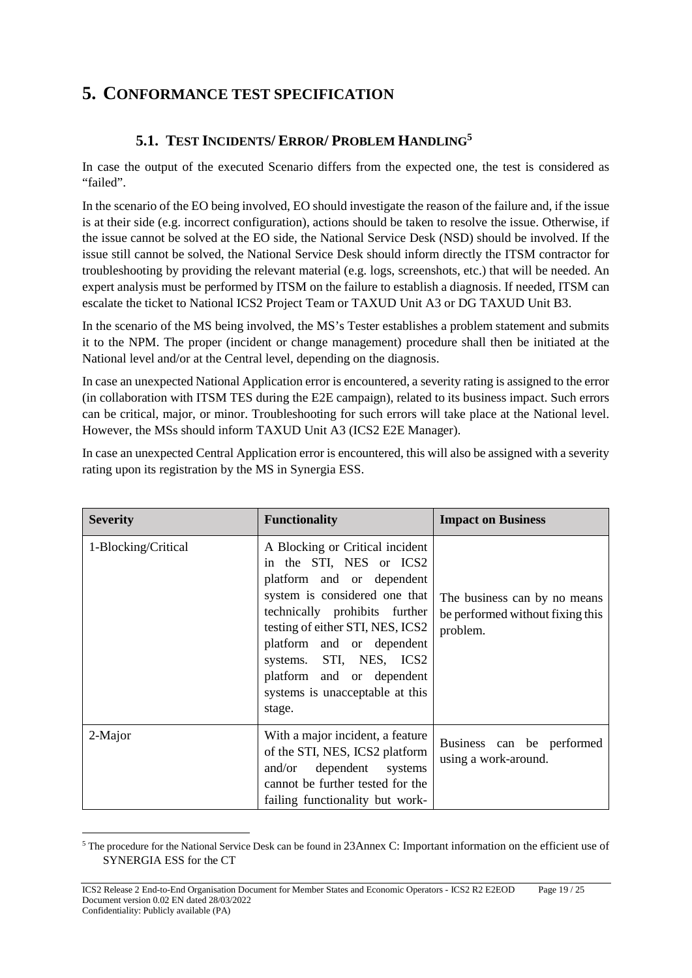# **5. CONFORMANCE TEST SPECIFICATION**

# **5.1. TEST INCIDENTS/ ERROR/ PROBLEM HANDLING5**

In case the output of the executed Scenario differs from the expected one, the test is considered as "failed".

In the scenario of the EO being involved, EO should investigate the reason of the failure and, if the issue is at their side (e.g. incorrect configuration), actions should be taken to resolve the issue. Otherwise, if the issue cannot be solved at the EO side, the National Service Desk (NSD) should be involved. If the issue still cannot be solved, the National Service Desk should inform directly the ITSM contractor for troubleshooting by providing the relevant material (e.g. logs, screenshots, etc.) that will be needed. An expert analysis must be performed by ITSM on the failure to establish a diagnosis. If needed, ITSM can escalate the ticket to National ICS2 Project Team or TAXUD Unit A3 or DG TAXUD Unit B3.

In the scenario of the MS being involved, the MS's Tester establishes a problem statement and submits it to the NPM. The proper (incident or change management) procedure shall then be initiated at the National level and/or at the Central level, depending on the diagnosis.

In case an unexpected National Application error is encountered, a severity rating is assigned to the error (in collaboration with ITSM TES during the E2E campaign), related to its business impact. Such errors can be critical, major, or minor. Troubleshooting for such errors will take place at the National level. However, the MSs should inform TAXUD Unit A3 (ICS2 E2E Manager).

In case an unexpected Central Application error is encountered, this will also be assigned with a severity rating upon its registration by the MS in Synergia ESS.

| <b>Severity</b>     | <b>Functionality</b>                                                                                                                                                                                                                                                                                                            | <b>Impact on Business</b>                                                    |
|---------------------|---------------------------------------------------------------------------------------------------------------------------------------------------------------------------------------------------------------------------------------------------------------------------------------------------------------------------------|------------------------------------------------------------------------------|
| 1-Blocking/Critical | A Blocking or Critical incident<br>in the STI, NES or ICS2<br>platform and or dependent<br>system is considered one that<br>technically prohibits further<br>testing of either STI, NES, ICS2<br>platform and or dependent<br>systems. STI, NES, ICS2<br>platform and or dependent<br>systems is unacceptable at this<br>stage. | The business can by no means<br>be performed without fixing this<br>problem. |
| 2-Major             | With a major incident, a feature<br>of the STI, NES, ICS2 platform<br>and/or dependent systems<br>cannot be further tested for the<br>failing functionality but work-                                                                                                                                                           | Business can be performed<br>using a work-around.                            |

<sup>5</sup> The procedure for the National Service Desk can be found in 23Annex C: Important information on the efficient use of SYNERGIA ESS for the CT

ICS2 Release 2 End-to-End Organisation Document for Member States and Economic Operators - ICS2 R2 E2EOD Page 19 / 25 Document version 0.02 EN dated 28/03/2022 Confidentiality: Publicly available (PA)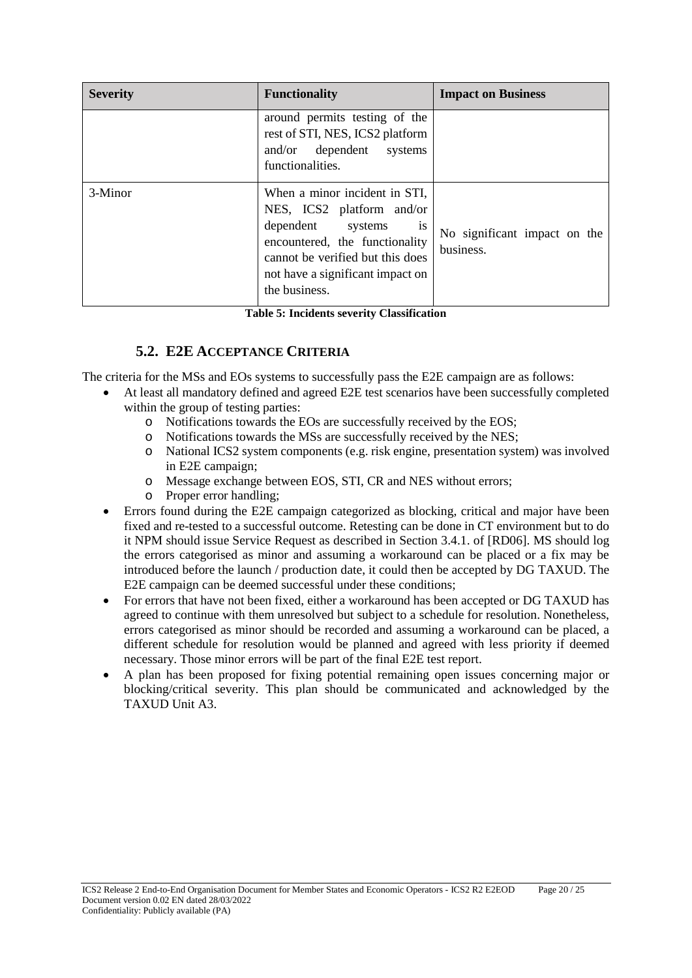| <b>Severity</b> | <b>Functionality</b>                                                                                                                                                                                                          | <b>Impact on Business</b>                 |
|-----------------|-------------------------------------------------------------------------------------------------------------------------------------------------------------------------------------------------------------------------------|-------------------------------------------|
|                 | around permits testing of the<br>rest of STI, NES, ICS2 platform<br>and/or dependent systems<br>functionalities.                                                                                                              |                                           |
| 3-Minor         | When a minor incident in STI,<br>NES, ICS2 platform and/or<br>dependent systems<br>$\overline{1}S$<br>encountered, the functionality<br>cannot be verified but this does<br>not have a significant impact on<br>the business. | No significant impact on the<br>business. |

**Table 5: Incidents severity Classification**

# **5.2. E2E ACCEPTANCE CRITERIA**

The criteria for the MSs and EOs systems to successfully pass the E2E campaign are as follows:

- At least all mandatory defined and agreed E2E test scenarios have been successfully completed within the group of testing parties:
	- o Notifications towards the EOs are successfully received by the EOS;
	- o Notifications towards the MSs are successfully received by the NES;
	- o National ICS2 system components (e.g. risk engine, presentation system) was involved in E2E campaign;
	- o Message exchange between EOS, STI, CR and NES without errors;
	- o Proper error handling;
- Errors found during the E2E campaign categorized as blocking, critical and major have been fixed and re-tested to a successful outcome. Retesting can be done in CT environment but to do it NPM should issue Service Request as described in Section 3.4.1. of [RD06]. MS should log the errors categorised as minor and assuming a workaround can be placed or a fix may be introduced before the launch / production date, it could then be accepted by DG TAXUD. The E2E campaign can be deemed successful under these conditions;
- For errors that have not been fixed, either a workaround has been accepted or DG TAXUD has agreed to continue with them unresolved but subject to a schedule for resolution. Nonetheless, errors categorised as minor should be recorded and assuming a workaround can be placed, a different schedule for resolution would be planned and agreed with less priority if deemed necessary. Those minor errors will be part of the final E2E test report.
- A plan has been proposed for fixing potential remaining open issues concerning major or blocking/critical severity. This plan should be communicated and acknowledged by the TAXUD Unit A3.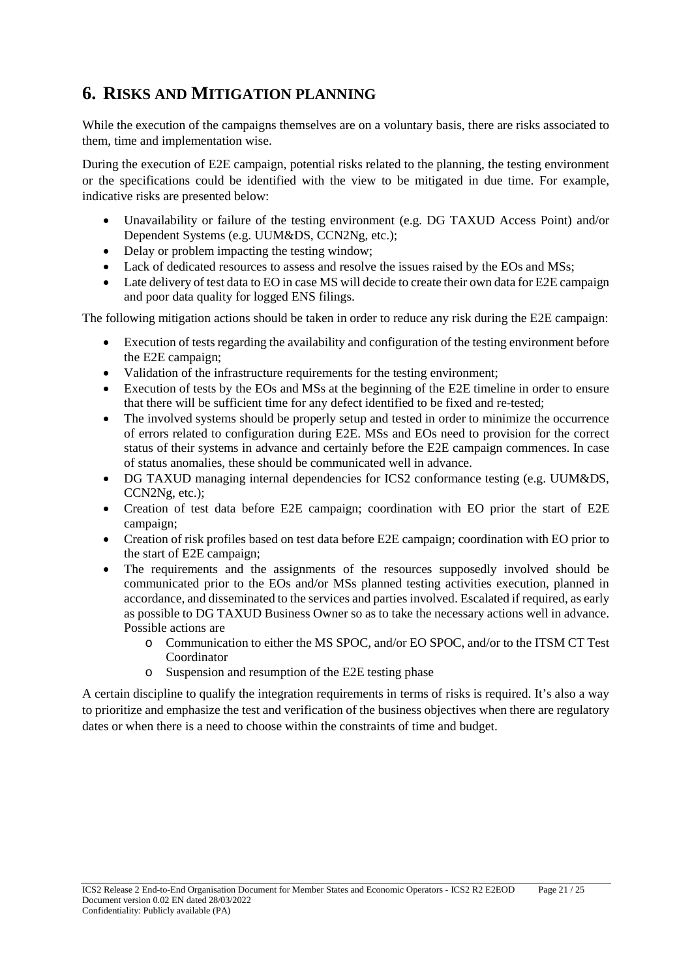# **6. RISKS AND MITIGATION PLANNING**

While the execution of the campaigns themselves are on a voluntary basis, there are risks associated to them, time and implementation wise.

During the execution of E2E campaign, potential risks related to the planning, the testing environment or the specifications could be identified with the view to be mitigated in due time. For example, indicative risks are presented below:

- Unavailability or failure of the testing environment (e.g. DG TAXUD Access Point) and/or Dependent Systems (e.g. UUM&DS, CCN2Ng, etc.);
- Delay or problem impacting the testing window;
- Lack of dedicated resources to assess and resolve the issues raised by the EOs and MSs;
- Late delivery of test data to EO in case MS will decide to create their own data for E2E campaign and poor data quality for logged ENS filings.

The following mitigation actions should be taken in order to reduce any risk during the E2E campaign:

- Execution of tests regarding the availability and configuration of the testing environment before the E2E campaign;
- Validation of the infrastructure requirements for the testing environment;
- Execution of tests by the EOs and MSs at the beginning of the E2E timeline in order to ensure that there will be sufficient time for any defect identified to be fixed and re-tested;
- The involved systems should be properly setup and tested in order to minimize the occurrence of errors related to configuration during E2E. MSs and EOs need to provision for the correct status of their systems in advance and certainly before the E2E campaign commences. In case of status anomalies, these should be communicated well in advance.
- DG TAXUD managing internal dependencies for ICS2 conformance testing (e.g. UUM&DS, CCN2Ng, etc.);
- Creation of test data before E2E campaign; coordination with EO prior the start of E2E campaign;
- Creation of risk profiles based on test data before E2E campaign; coordination with EO prior to the start of E2E campaign;
- The requirements and the assignments of the resources supposedly involved should be communicated prior to the EOs and/or MSs planned testing activities execution, planned in accordance, and disseminated to the services and parties involved. Escalated if required, as early as possible to DG TAXUD Business Owner so as to take the necessary actions well in advance. Possible actions are
	- o Communication to either the MS SPOC, and/or EO SPOC, and/or to the ITSM CT Test Coordinator
	- o Suspension and resumption of the E2E testing phase

A certain discipline to qualify the integration requirements in terms of risks is required. It's also a way to prioritize and emphasize the test and verification of the business objectives when there are regulatory dates or when there is a need to choose within the constraints of time and budget.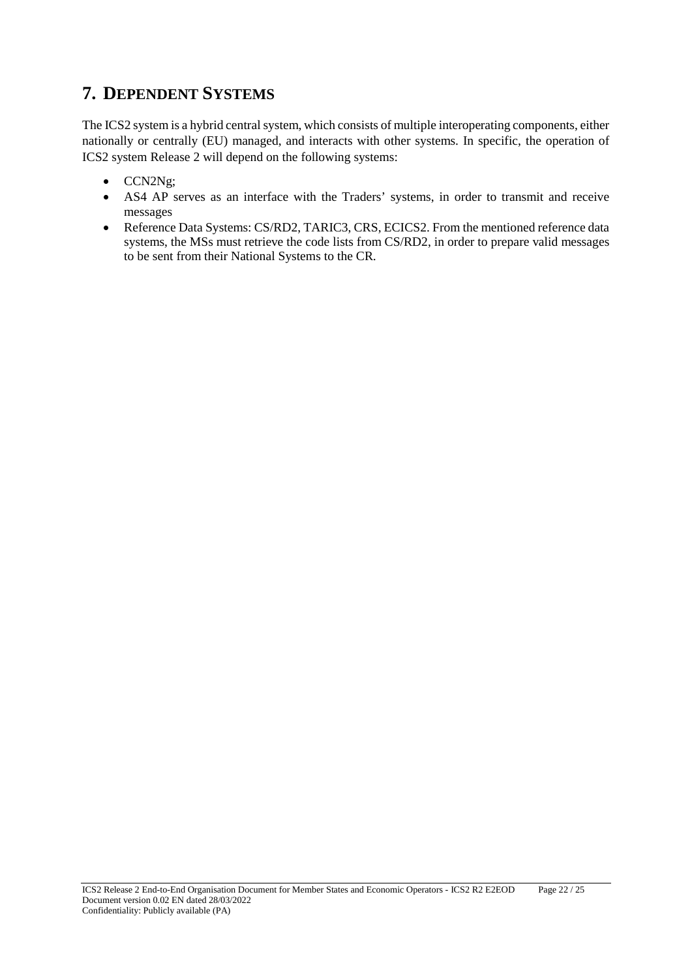# **7. DEPENDENT SYSTEMS**

The ICS2 system is a hybrid central system, which consists of multiple interoperating components, either nationally or centrally (EU) managed, and interacts with other systems. In specific, the operation of ICS2 system Release 2 will depend on the following systems:

- CCN2Ng;
- AS4 AP serves as an interface with the Traders' systems, in order to transmit and receive messages
- Reference Data Systems: CS/RD2, TARIC3, CRS, ECICS2. From the mentioned reference data systems, the MSs must retrieve the code lists from CS/RD2, in order to prepare valid messages to be sent from their National Systems to the CR.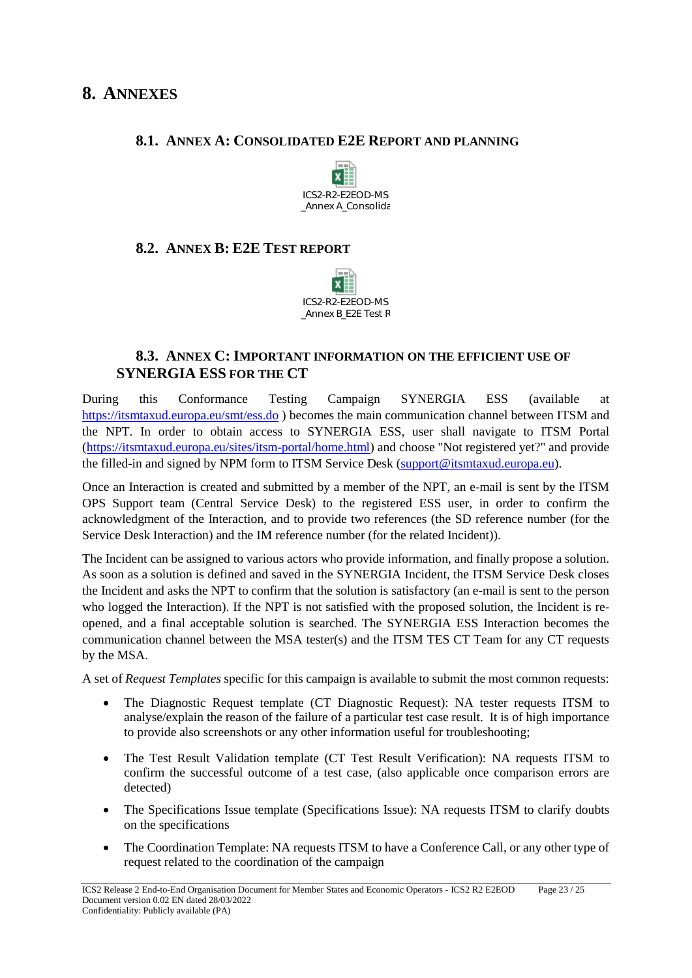### **8.1. ANNEX A: CONSOLIDATED E2E REPORT AND PLANNING**



#### **8.2. ANNEX B: E2E TEST REPORT**



# **8.3. ANNEX C: IMPORTANT INFORMATION ON THE EFFICIENT USE OF SYNERGIA ESS FOR THE CT**

During this Conformance Testing Campaign SYNERGIA ESS (available at <https://itsmtaxud.europa.eu/smt/ess.do> ) becomes the main communication channel between ITSM and the NPT. In order to obtain access to SYNERGIA ESS, user shall navigate to ITSM Portal [\(https://itsmtaxud.europa.eu/sites/itsm-portal/home.html\)](https://itsmtaxud.europa.eu/sites/itsm-portal/home.html) and choose "Not registered yet?" and provide the filled-in and signed by NPM form to ITSM Service Desk [\(support@itsmtaxud.europa.eu\)](mailto:support@itsmtaxud.europa.eu).

Once an Interaction is created and submitted by a member of the NPT, an e-mail is sent by the ITSM OPS Support team (Central Service Desk) to the registered ESS user, in order to confirm the acknowledgment of the Interaction, and to provide two references (the SD reference number (for the Service Desk Interaction) and the IM reference number (for the related Incident)).

The Incident can be assigned to various actors who provide information, and finally propose a solution. As soon as a solution is defined and saved in the SYNERGIA Incident, the ITSM Service Desk closes the Incident and asks the NPT to confirm that the solution is satisfactory (an e-mail is sent to the person who logged the Interaction). If the NPT is not satisfied with the proposed solution, the Incident is reopened, and a final acceptable solution is searched. The SYNERGIA ESS Interaction becomes the communication channel between the MSA tester(s) and the ITSM TES CT Team for any CT requests by the MSA.

A set of *Request Templates* specific for this campaign is available to submit the most common requests:

- The Diagnostic Request template (CT Diagnostic Request): NA tester requests ITSM to analyse/explain the reason of the failure of a particular test case result. It is of high importance to provide also screenshots or any other information useful for troubleshooting;
- The Test Result Validation template (CT Test Result Verification): NA requests ITSM to confirm the successful outcome of a test case, (also applicable once comparison errors are detected)
- The Specifications Issue template (Specifications Issue): NA requests ITSM to clarify doubts on the specifications
- The Coordination Template: NA requests ITSM to have a Conference Call, or any other type of request related to the coordination of the campaign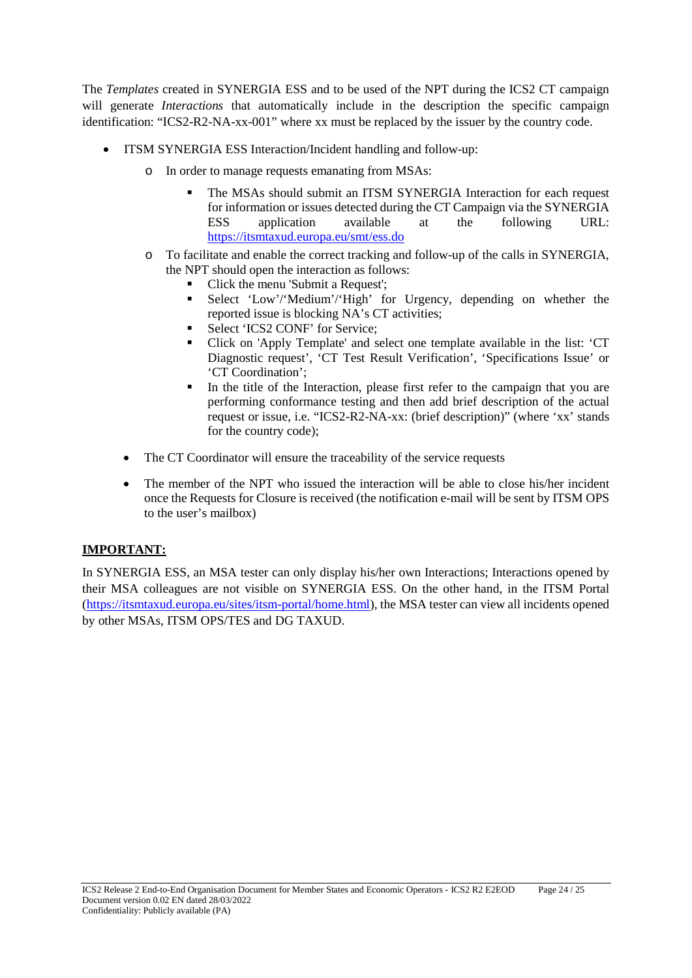The *Templates* created in SYNERGIA ESS and to be used of the NPT during the ICS2 CT campaign will generate *Interactions* that automatically include in the description the specific campaign identification: "ICS2-R2-NA-xx-001" where xx must be replaced by the issuer by the country code.

- ITSM SYNERGIA ESS Interaction/Incident handling and follow-up:
	- o In order to manage requests emanating from MSAs:
		- The MSAs should submit an ITSM SYNERGIA Interaction for each request for information or issues detected during the CT Campaign via the SYNERGIA ESS application available at the following URL: <https://itsmtaxud.europa.eu/smt/ess.do>
	- o To facilitate and enable the correct tracking and follow-up of the calls in SYNERGIA, the NPT should open the interaction as follows:
		- Click the menu 'Submit a Request';
		- Select 'Low'/'Medium'/'High' for Urgency, depending on whether the reported issue is blocking NA's CT activities;
		- Select 'ICS2 CONF' for Service;
		- Click on 'Apply Template' and select one template available in the list: 'CT Diagnostic request', 'CT Test Result Verification', 'Specifications Issue' or 'CT Coordination';
		- In the title of the Interaction, please first refer to the campaign that you are performing conformance testing and then add brief description of the actual request or issue, i.e. "ICS2-R2-NA-xx: (brief description)" (where 'xx' stands for the country code);
	- The CT Coordinator will ensure the traceability of the service requests
	- The member of the NPT who issued the interaction will be able to close his/her incident once the Requests for Closure is received (the notification e-mail will be sent by ITSM OPS to the user's mailbox)

#### **IMPORTANT:**

In SYNERGIA ESS, an MSA tester can only display his/her own Interactions; Interactions opened by their MSA colleagues are not visible on SYNERGIA ESS. On the other hand, in the ITSM Portal [\(https://itsmtaxud.europa.eu/sites/itsm-portal/home.html\)](https://itsmtaxud.europa.eu/sites/itsm-portal/home.html), the MSA tester can view all incidents opened by other MSAs, ITSM OPS/TES and DG TAXUD.